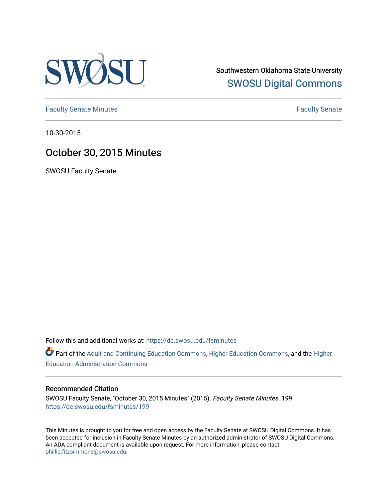

Southwestern Oklahoma State University [SWOSU Digital Commons](https://dc.swosu.edu/) 

[Faculty Senate Minutes](https://dc.swosu.edu/fsminutes) **Faculty** Senate Minutes

10-30-2015

## October 30, 2015 Minutes

SWOSU Faculty Senate

Follow this and additional works at: [https://dc.swosu.edu/fsminutes](https://dc.swosu.edu/fsminutes?utm_source=dc.swosu.edu%2Ffsminutes%2F199&utm_medium=PDF&utm_campaign=PDFCoverPages) 

Part of the [Adult and Continuing Education Commons,](http://network.bepress.com/hgg/discipline/1375?utm_source=dc.swosu.edu%2Ffsminutes%2F199&utm_medium=PDF&utm_campaign=PDFCoverPages) [Higher Education Commons,](http://network.bepress.com/hgg/discipline/1245?utm_source=dc.swosu.edu%2Ffsminutes%2F199&utm_medium=PDF&utm_campaign=PDFCoverPages) and the [Higher](http://network.bepress.com/hgg/discipline/791?utm_source=dc.swosu.edu%2Ffsminutes%2F199&utm_medium=PDF&utm_campaign=PDFCoverPages) [Education Administration Commons](http://network.bepress.com/hgg/discipline/791?utm_source=dc.swosu.edu%2Ffsminutes%2F199&utm_medium=PDF&utm_campaign=PDFCoverPages) 

## Recommended Citation

SWOSU Faculty Senate, "October 30, 2015 Minutes" (2015). Faculty Senate Minutes. 199. [https://dc.swosu.edu/fsminutes/199](https://dc.swosu.edu/fsminutes/199?utm_source=dc.swosu.edu%2Ffsminutes%2F199&utm_medium=PDF&utm_campaign=PDFCoverPages) 

This Minutes is brought to you for free and open access by the Faculty Senate at SWOSU Digital Commons. It has been accepted for inclusion in Faculty Senate Minutes by an authorized administrator of SWOSU Digital Commons. An ADA compliant document is available upon request. For more information, please contact [phillip.fitzsimmons@swosu.edu](mailto:phillip.fitzsimmons@swosu.edu).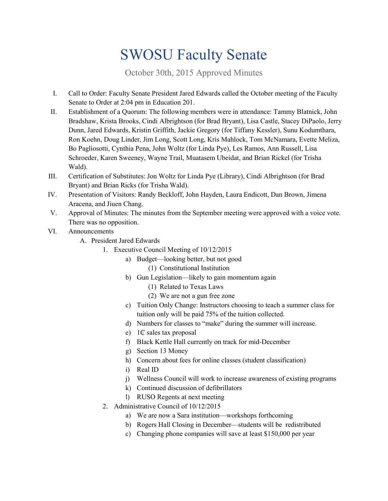## SWOSU Faculty Senate

October 30th, 2015 Approved Minutes

- I. Call to Order: Faculty Senate President Jared Edwards called the October meeting of the Faculty Senate to Order at 2:04 pm in Education 201.
- II. Establishment of a Quorum: The following members were in attendance: Tammy Blatnick, John Bradshaw, Krista Brooks, Cindi Albrightson (for Brad Bryant), Lisa Castle, Stacey DiPaolo, Jerry Dunn, Jared Edwards, Kristin Griffith, Jackie Gregory (for Tiffany Kessler), Sunu Kodumthara, Ron Koehn, Doug Linder, Jim Long, Scott Long, Kris Mahlock, Tom McNamara, Evette Meliza, Bo Pagliosotti, Cynthia Pena, John Woltz (for Linda Pye), Les Ramos, Ann Russell, Lisa Schroeder, Karen Sweeney, Wayne Trail, Muatasem Ubeidat, and Brian Rickel (for Trisha Wald).
- III. Certification of Substitutes: Jon Woltz for Linda Pye (Library), Cindi Albrightson (for Brad Bryant) and Brian Ricks (for Trisha Wald).
- IV. Presentation of Visitors: Randy Beckloff, John Hayden, Laura Endicott, Dan Brown, Jimena Aracena, and Jiuen Chang.
- V. Approval of Minutes: The minutes from the September meeting were approved with a voice vote. There was no opposition.
- VI. Announcements
	- A. President Jared Edwards
		- 1. Executive Council Meeting of 10/12/2015
			- a) Budget—looking better, but not good
				- (1) Constitutional Institution
			- b) Gun Legislation—likely to gain momentum again
				- (1) Related to Texas Laws
				- (2) We are not a gun free zone
			- c) Tuition Only Change: Instructors choosing to teach a summer class for tuition only will be paid 75% of the tuition collected.
			- d) Numbers for classes to "make" during the summer will increase.
			- e) 1₵ sales tax proposal
			- f) Black Kettle Hall currently on track for mid-December
			- g) Section 13 Money
			- h) Concern about fees for online classes (student classification)
			- i) Real ID
			- j) Wellness Council will work to increase awareness of existing programs
			- k) Continued discussion of defibrillators
			- l) RUSO Regents at next meeting
			- 2. Administrative Council of 10/12/2015
				- a) We are now a Sara institution—workshops forthcoming
				- b) Rogers Hall Closing in December—students will be redistributed
				- c) Changing phone companies will save at least \$150,000 per year